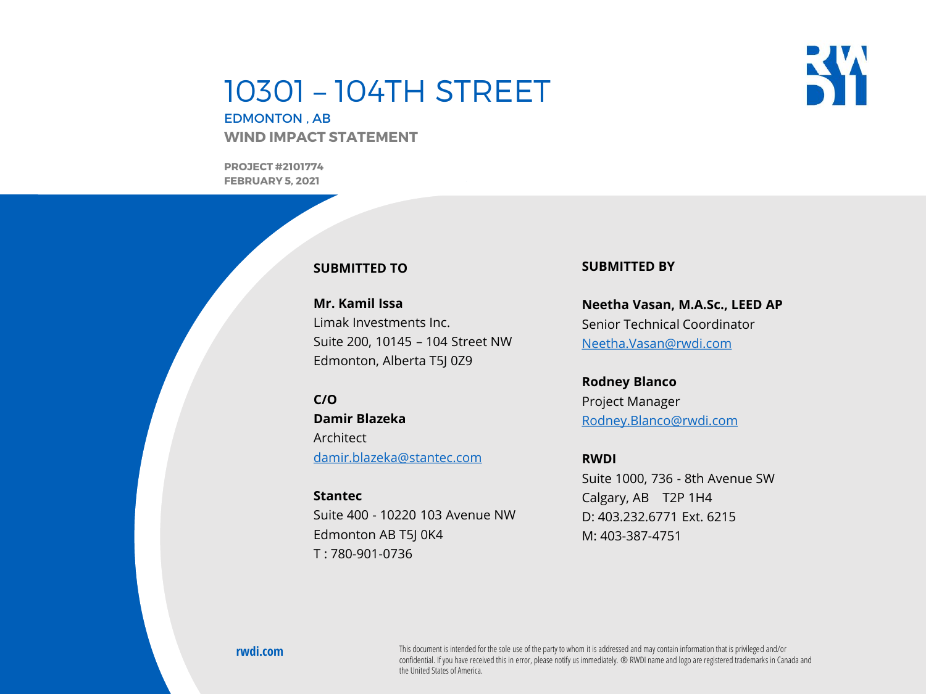# 10301 – 104TH STREET

**RW** 

EDMONTON , AB **WIND IMPACT STATEMENT**

**PROJECT #2101774 FEBRUARY 5, 2021**

#### **SUBMITTED TO**

**Mr. Kamil Issa** Limak Investments Inc. Suite 200, 10145 – 104 Street NW Edmonton, Alberta T5J 0Z9

**C/O Damir Blazeka** Architect [damir.blazeka@stantec.com](mailto:damir.blazeka@stantec.com)

**Stantec** Suite 400 - 10220 103 Avenue NW Edmonton AB T5J 0K4 T : 780-901-0736

#### **SUBMITTED BY**

**Neetha Vasan, M.A.Sc., LEED AP** Senior Technical Coordinator [Neetha.Vasan@rwdi.com](mailto:Rose.Babaei@rwdi.com)

### **Rodney Blanco**

Project Manager [Rodney.Blanco@rwdi.com](mailto:Rodney.Blanco@rwdi.com)

#### **RWDI**

Suite 1000, 736 - 8th Avenue SW Calgary, AB T2P 1H4 D: 403.232.6771 Ext. 6215 M: 403-387-4751

**RWDI Project #2101774**

confidential. If you have received this in error, please notify us immediately. ® RWDI name and logo are registered trademarks in Canada and<br>the United States of America **rwdi.com** This document is intended for the sole use of the party to whom it is addressed and may contain information that is privileged and/or the United States of America.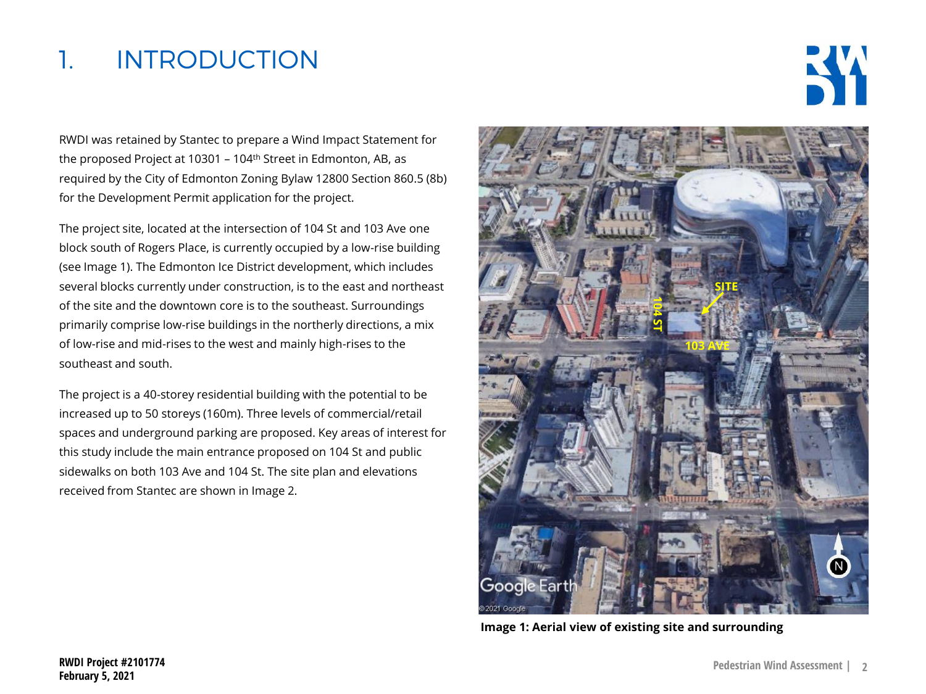## 1. INTRODUCTION



RWDI was retained by Stantec to prepare a Wind Impact Statement for the proposed Project at 10301 - 104<sup>th</sup> Street in Edmonton, AB, as required by the City of Edmonton Zoning Bylaw 12800 Section 860.5 (8b) for the Development Permit application for the project.

The project site, located at the intersection of 104 St and 103 Ave one block south of Rogers Place, is currently occupied by a low-rise building (see Image 1). The Edmonton Ice District development, which includes several blocks currently under construction, is to the east and northeast of the site and the downtown core is to the southeast. Surroundings primarily comprise low-rise buildings in the northerly directions, a mix of low-rise and mid-rises to the west and mainly high-rises to the southeast and south.

The project is a 40-storey residential building with the potential to be increased up to 50 storeys (160m). Three levels of commercial/retail spaces and underground parking are proposed. Key areas of interest for this study include the main entrance proposed on 104 St and public sidewalks on both 103 Ave and 104 St. The site plan and elevations received from Stantec are shown in Image 2.

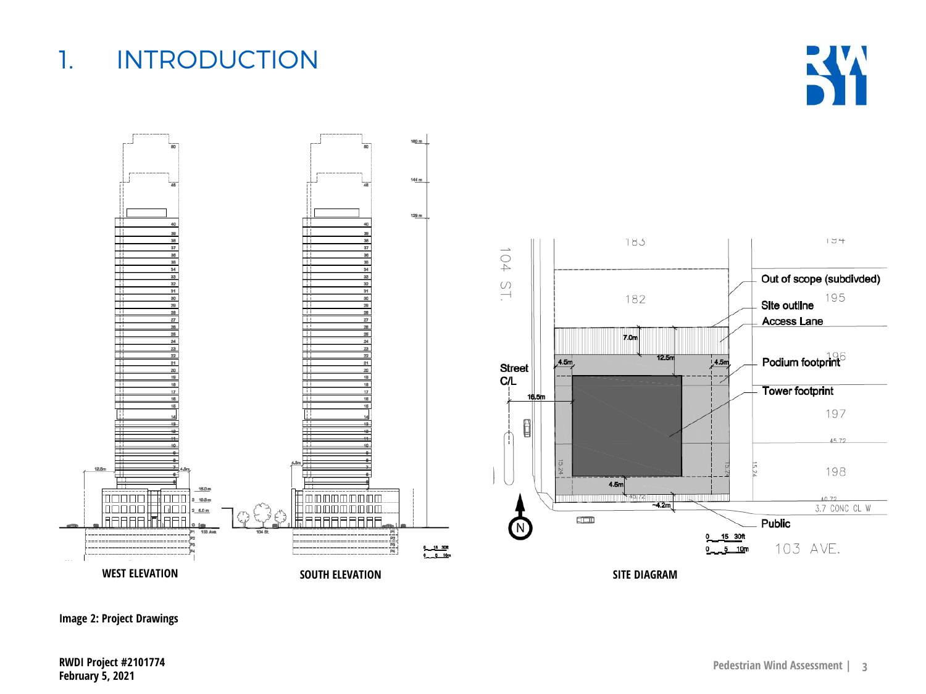**Image 2: Project Drawings**

# 1. INTRODUCTION



**KX**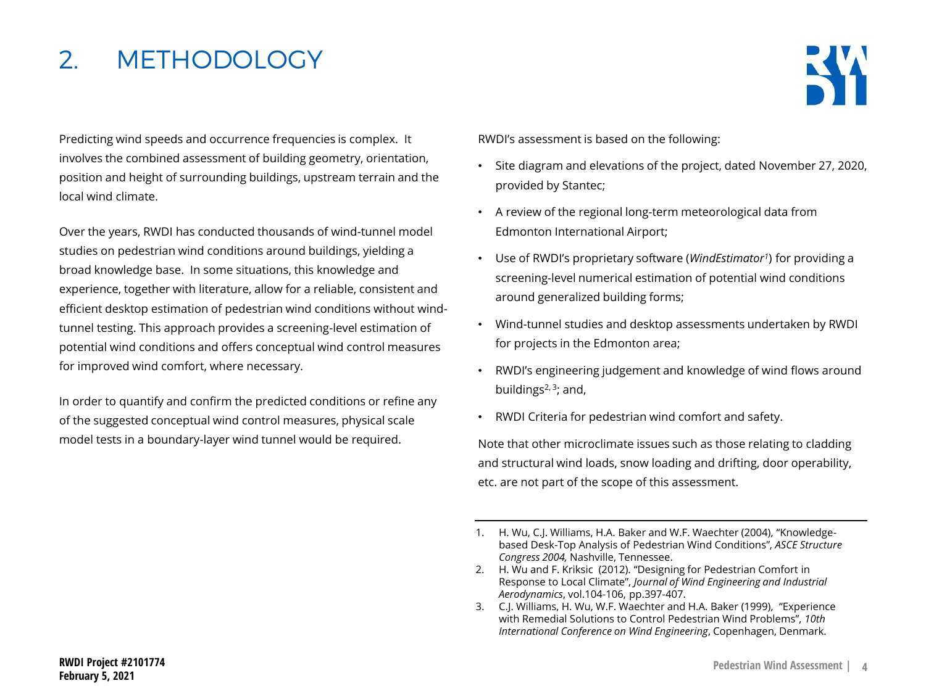## 2. METHODOLOGY



. position and height of surrounding buildings, upstream terrain and the Predicting wind speeds and occurrence frequencies is complex. It involves the combined assessment of building geometry, orientation, local wind climate.

Over the years, RWDI has conducted thousands of wind-tunnel model studies on pedestrian wind conditions around buildings, yielding a broad knowledge base. In some situations, this knowledge and experience, together with literature, allow for a reliable, consistent and efficient desktop estimation of pedestrian wind conditions without windtunnel testing. This approach provides a screening-level estimation of potential wind conditions and offers conceptual wind control measures for improved wind comfort, where necessary.

In order to quantify and confirm the predicted conditions or refine any of the suggested conceptual wind control measures, physical scale model tests in a boundary-layer wind tunnel would be required.

RWDI's assessment is based on the following:

- Site diagram and elevations of the project, dated November 27, 2020, provided by Stantec;
- A review of the regional long-term meteorological data from Edmonton International Airport;
- Use of RWDI's proprietary software (*WindEstimator<sup>1</sup>* ) for providing a screening-level numerical estimation of potential wind conditions around generalized building forms;
- Wind-tunnel studies and desktop assessments undertaken by RWDI for projects in the Edmonton area;
- RWDI's engineering judgement and knowledge of wind flows around buildings $2,3$ ; and,
- RWDI Criteria for pedestrian wind comfort and safety.

Note that other microclimate issues such as those relating to cladding and structural wind loads, snow loading and drifting, door operability, etc. are not part of the scope of this assessment.

<sup>1.</sup> H. Wu, C.J. Williams, H.A. Baker and W.F. Waechter (2004), "Knowledgebased Desk-Top Analysis of Pedestrian Wind Conditions", *ASCE Structure Congress 2004,* Nashville, Tennessee.

<sup>2.</sup> H. Wu and F. Kriksic (2012). "Designing for Pedestrian Comfort in Response to Local Climate", *Journal of Wind Engineering and Industrial Aerodynamics*, vol.104-106, pp.397-407.

<sup>3.</sup> C.J. Williams, H. Wu, W.F. Waechter and H.A. Baker (1999), "Experience with Remedial Solutions to Control Pedestrian Wind Problems", *10th International Conference on Wind Engineering*, Copenhagen, Denmark.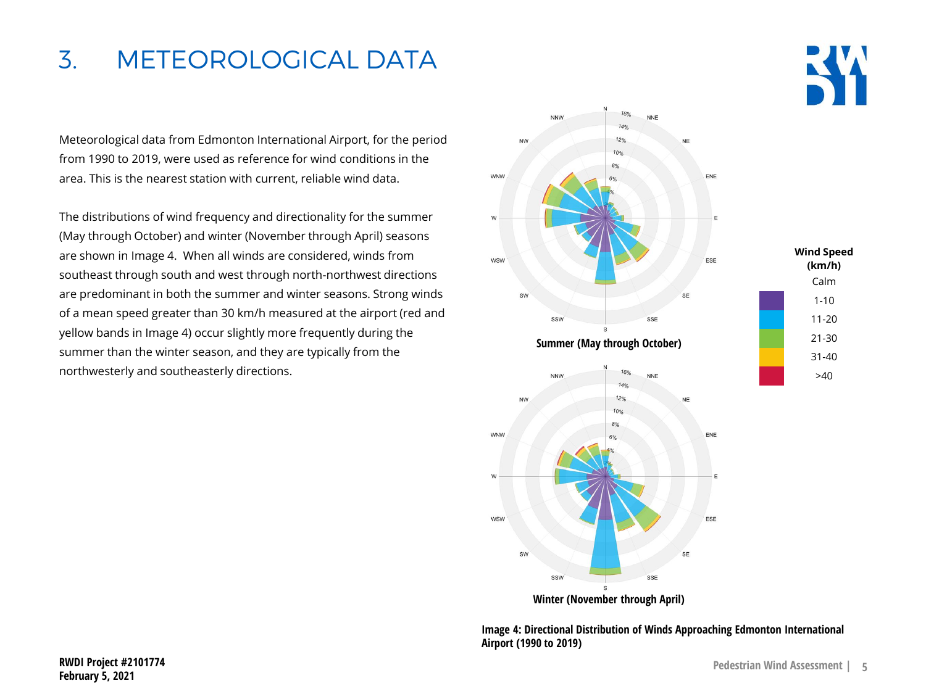### 3. METEOROLOGICAL DATA

Meteorological data from Edmonton International Airport, for the period from 1990 to 2019, were used as reference for wind conditions in the area. This is the nearest station with current, reliable wind data.

The distributions of wind frequency and directionality for the summer (May through October) and winter (November through April) seasons are shown in Image 4. When all winds are considered, winds from southeast through south and west through north-northwest directions are predominant in both the summer and winter seasons. Strong winds of a mean speed greater than 30 km/h measured at the airport (red and yellow bands in Image 4) occur slightly more frequently during the summer than the winter season, and they are typically from the northwesterly and southeasterly directions.



**Image 4: Directional Distribution of Winds Approaching Edmonton International Airport (1990 to 2019)**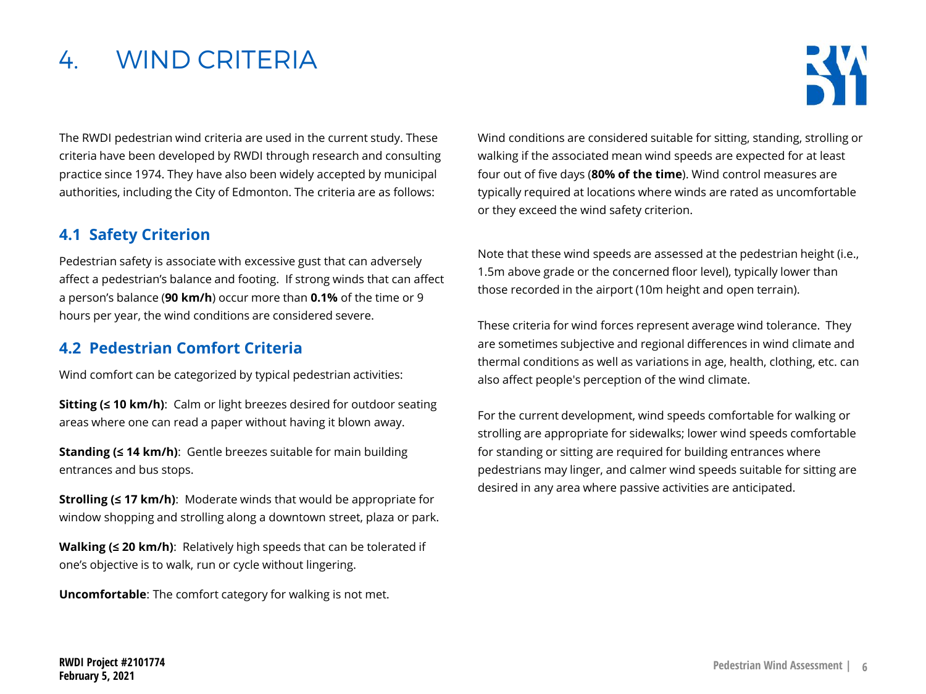## 4. WIND CRITERIA



The RWDI pedestrian wind criteria are used in the current study. These criteria have been developed by RWDI through research and consulting practice since 1974. They have also been widely accepted by municipal authorities, including the City of Edmonton. The criteria are as follows:

#### **4.1 Safety Criterion**

Pedestrian safety is associate with excessive gust that can adversely affect a pedestrian's balance and footing. If strong winds that can affect a person's balance (**90 km/h**) occur more than **0.1%** of the time or 9 hours per year, the wind conditions are considered severe.

#### **4.2 Pedestrian Comfort Criteria**

Wind comfort can be categorized by typical pedestrian activities:

**Sitting (≤ 10 km/h)**: Calm or light breezes desired for outdoor seating areas where one can read a paper without having it blown away.

**Standing (≤ 14 km/h)**: Gentle breezes suitable for main building entrances and bus stops.

**Strolling (≤ 17 km/h):** Moderate winds that would be appropriate for window shopping and strolling along a downtown street, plaza or park.

**Walking (≤ 20 km/h)**: Relatively high speeds that can be tolerated if one's objective is to walk, run or cycle without lingering.

**Uncomfortable**: The comfort category for walking is not met.

Wind conditions are considered suitable for sitting, standing, strolling or walking if the associated mean wind speeds are expected for at least four out of five days (**80% of the time**). Wind control measures are typically required at locations where winds are rated as uncomfortable or they exceed the wind safety criterion.

Note that these wind speeds are assessed at the pedestrian height (i.e., 1.5m above grade or the concerned floor level), typically lower than those recorded in the airport (10m height and open terrain).

These criteria for wind forces represent average wind tolerance. They are sometimes subjective and regional differences in wind climate and thermal conditions as well as variations in age, health, clothing, etc. can also affect people's perception of the wind climate.

For the current development, wind speeds comfortable for walking or strolling are appropriate for sidewalks; lower wind speeds comfortable for standing or sitting are required for building entrances where pedestrians may linger, and calmer wind speeds suitable for sitting are desired in any area where passive activities are anticipated.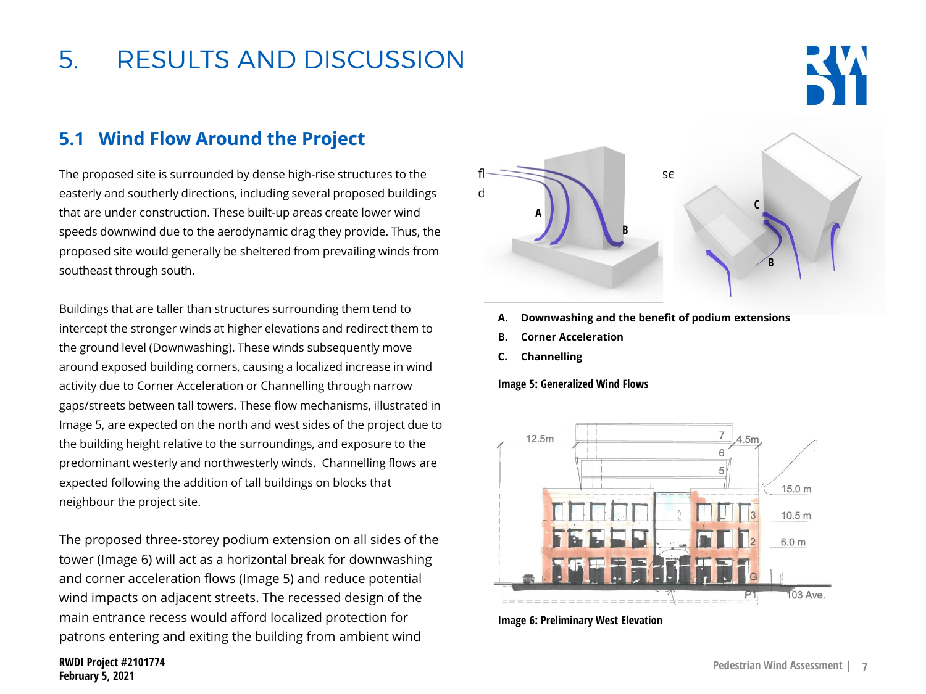# 5. RESULTS AND DISCUSSION

### **5.1 Wind Flow Around the Project**

The proposed site is surrounded by dense high-rise structures to the easterly and southerly directions, including several proposed buildings that are under construction. These built-up areas create lower wind speeds downwind due to the aerodynamic drag they provide. Thus, the proposed site would generally be sheltered from prevailing winds from southeast through south.

Buildings that are taller than structures surrounding them tend to intercept the stronger winds at higher elevations and redirect them to the ground level (Downwashing). These winds subsequently move around exposed building corners, causing a localized increase in wind activity due to Corner Acceleration or Channelling through narrow gaps/streets between tall towers. These flow mechanisms, illustrated in Image 5, are expected on the north and west sides of the project due to the building height relative to the surroundings, and exposure to the predominant westerly and northwesterly winds. Channelling flows are expected following the addition of tall buildings on blocks that neighbour the project site.

The proposed three-storey podium extension on all sides of the tower (Image 6) will act as a horizontal break for downwashing and corner acceleration flows (Image 5) and reduce potential wind impacts on adjacent streets. The recessed design of the main entrance recess would afford localized protection for patrons entering and exiting the building from ambient wind

**RWDI Project #2101774 February 5, 2021**



- **A. Downwashing and the benefit of podium extensions**
- **B. Corner Acceleration**
- **C. Channelling**

#### **Image 5: Generalized Wind Flows**



**Image 6: Preliminary West Elevation**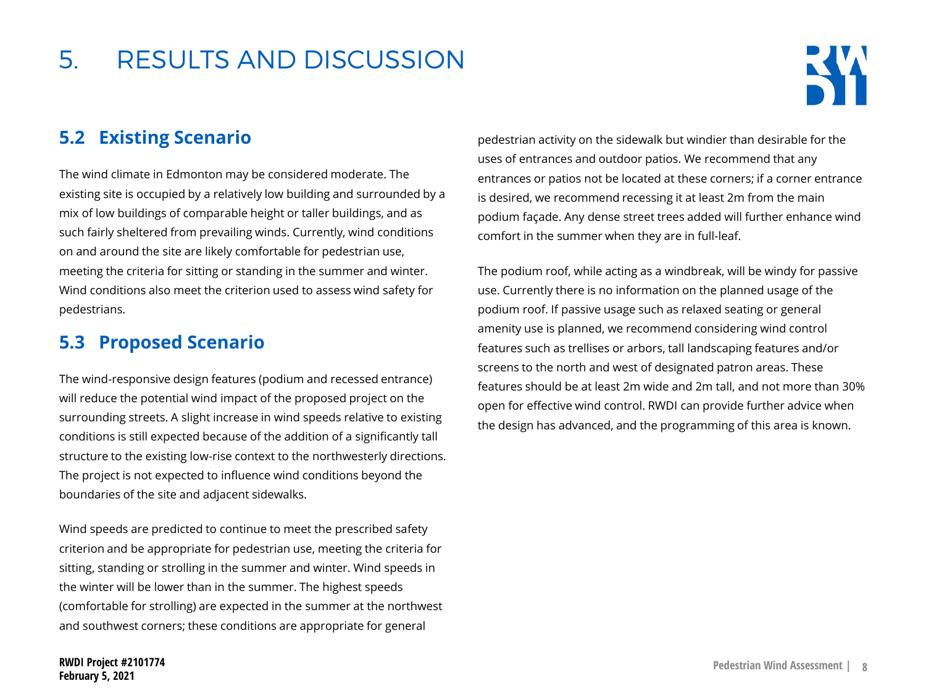## 5. RESULTS AND DISCUSSION



### **5.2 Existing Scenario**

The wind climate in Edmonton may be considered moderate. The existing site is occupied by a relatively low building and surrounded by a mix of low buildings of comparable height or taller buildings, and as such fairly sheltered from prevailing winds. Currently, wind conditions on and around the site are likely comfortable for pedestrian use, meeting the criteria for sitting or standing in the summer and winter. Wind conditions also meet the criterion used to assess wind safety for pedestrians.

### **5.3 Proposed Scenario**

The wind-responsive design features (podium and recessed entrance) will reduce the potential wind impact of the proposed project on the surrounding streets. A slight increase in wind speeds relative to existing conditions is still expected because of the addition of a significantly tall structure to the existing low-rise context to the northwesterly directions. The project is not expected to influence wind conditions beyond the boundaries of the site and adjacent sidewalks.

Wind speeds are predicted to continue to meet the prescribed safety criterion and be appropriate for pedestrian use, meeting the criteria for sitting, standing or strolling in the summer and winter. Wind speeds in the winter will be lower than in the summer. The highest speeds (comfortable for strolling) are expected in the summer at the northwest and southwest corners; these conditions are appropriate for general

pedestrian activity on the sidewalk but windier than desirable for the uses of entrances and outdoor patios. We recommend that any entrances or patios not be located at these corners; if a corner entrance is desired, we recommend recessing it at least 2m from the main podium façade. Any dense street trees added will further enhance wind comfort in the summer when they are in full-leaf.

The podium roof, while acting as a windbreak, will be windy for passive use. Currently there is no information on the planned usage of the podium roof. If passive usage such as relaxed seating or general amenity use is planned, we recommend considering wind control features such as trellises or arbors, tall landscaping features and/or screens to the north and west of designated patron areas. These features should be at least 2m wide and 2m tall, and not more than 30% open for effective wind control. RWDI can provide further advice when the design has advanced, and the programming of this area is known.

**RWDI Project #2101774 February 5, 2021**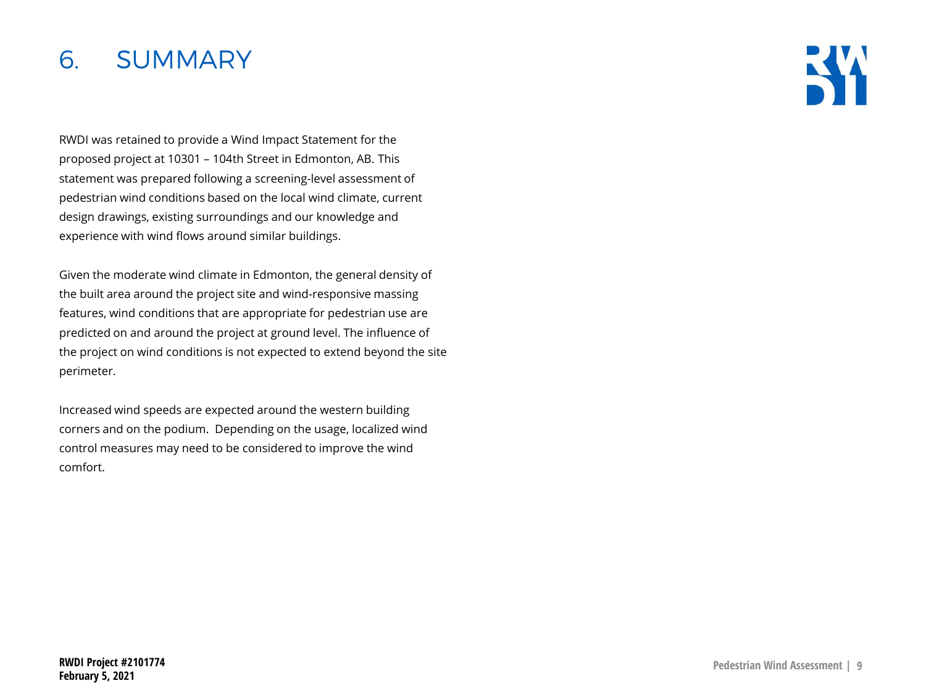### 6. SUMMARY

RWDI was retained to provide a Wind Impact Statement for the proposed project at 10301 – 104th Street in Edmonton, AB. This statement was prepared following a screening-level assessment of pedestrian wind conditions based on the local wind climate, current design drawings, existing surroundings and our knowledge and experience with wind flows around similar buildings.

Given the moderate wind climate in Edmonton, the general density of the built area around the project site and wind-responsive massing features, wind conditions that are appropriate for pedestrian use are predicted on and around the project at ground level. The influence of the project on wind conditions is not expected to extend beyond the site perimeter.

Increased wind speeds are expected around the western building corners and on the podium. Depending on the usage, localized wind control measures may need to be considered to improve the wind comfort.